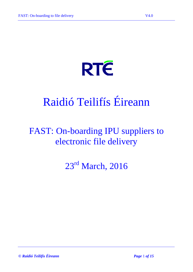# **RTE**

## Raidió Teilifís Éireann

### FAST: On-boarding IPU suppliers to electronic file delivery

23<sup>rd</sup> March, 2016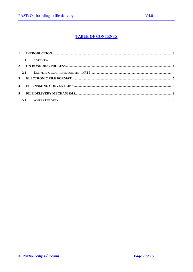#### **TABLE OF CONTENTS**

|                | 1.1 |  |
|----------------|-----|--|
|                |     |  |
|                |     |  |
|                |     |  |
|                |     |  |
|                |     |  |
|                |     |  |
|                |     |  |
| 5 <sup>1</sup> |     |  |
|                |     |  |
|                |     |  |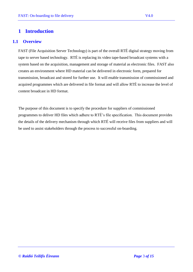#### <span id="page-2-1"></span><span id="page-2-0"></span>**1 Introduction**

#### **1.1 Overview**

FAST (File Acquisition Server Technology) is part of the overall RTÉ digital strategy moving from tape to server based technology. RTÉ is replacing its video tape-based broadcast systems with a system based on the acquisition, management and storage of material as electronic files. FAST also creates an environment where HD material can be delivered in electronic form, prepared for transmission, broadcast and stored for further use. It will enable transmission of commissioned and acquired programmes which are delivered in file format and will allow RTÉ to increase the level of content broadcast in HD format.

The purpose of this document is to specify the procedure for suppliers of commissioned programmes to deliver HD files which adhere to RTÉ's file specification. This document provides the details of the delivery mechanism through which RTÉ will receive files from suppliers and will be used to assist stakeholders through the process to successful on-boarding.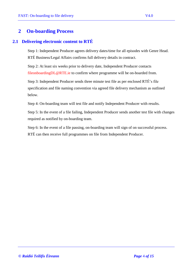#### <span id="page-3-0"></span>**2 On-boarding Process**

#### <span id="page-3-1"></span>**2.1 Delivering electronic content to RTÉ**

Step 1: Independent Producer agrees delivery dates/time for all episodes with Genre Head. RTÉ Business/Legal Affairs confirms full delivery details in contract.

Step 2: At least six weeks prior to delivery date, Independent Producer contacts fileonboardingDL@RTE.ie to confirm where programme will be on-boarded from.

Step 3: Independent Producer sends three minute test file as per enclosed RTÉ's file specification and file naming convention via agreed file delivery mechanism as outlined below.

Step 4: On-boarding team will test file and notify Independent Producer with results.

Step 5: In the event of a file failing, Independent Producer sends another test file with changes required as notified by on-boarding team.

Step 6: In the event of a file passing, on-boarding team will sign of on successful process. RTÉ can then receive full programmes on file from Independent Producer.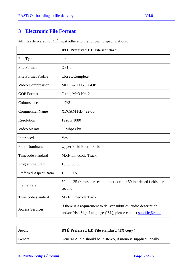#### <span id="page-4-0"></span>**3 Electronic File Format**

|                            | RTÉ Preferred HD File standard                                                                                                        |  |  |
|----------------------------|---------------------------------------------------------------------------------------------------------------------------------------|--|--|
| File Type                  | mxf                                                                                                                                   |  |  |
| <b>File Format</b>         | $OP1-a$                                                                                                                               |  |  |
| <b>File Format Profile</b> | Closed/Complete                                                                                                                       |  |  |
| Video Compression          | MPEG-2 LONG GOP                                                                                                                       |  |  |
| <b>GOP</b> Format          | Fixed, $M=3$ $N=12$                                                                                                                   |  |  |
| Colourspace                | 4:2:2                                                                                                                                 |  |  |
| <b>Commercial Name</b>     | <b>XDCAM HD 422-50</b>                                                                                                                |  |  |
| Resolution                 | 1920 x 1080                                                                                                                           |  |  |
| Video bit rate             | 50Mbps 8bit                                                                                                                           |  |  |
| Interlaced                 | Yes                                                                                                                                   |  |  |
| <b>Field Dominance</b>     | Upper Field First – Field 1                                                                                                           |  |  |
| Timecode standard          | <b>MXF Timecode Track</b>                                                                                                             |  |  |
| Programme Start            | 10:00:00:00                                                                                                                           |  |  |
| Preferred Aspect Ratio     | 16:9 FHA                                                                                                                              |  |  |
| <b>Frame Rate</b>          | 50i i.e. 25 frames per second interlaced or 50 interlaced fields per<br>second                                                        |  |  |
| Time code standard         | <b>MXF Timecode Track</b>                                                                                                             |  |  |
| <b>Access Services</b>     | If there is a requirement to deliver subtitles, audio description<br>and/or Irish Sign Language (ISL), please contact subtitle@rte.ie |  |  |

All files delivered to RTÉ must adhere to the following specifications:

| <b>Audio</b> | <b>RTÉ Preferred HD File standard (TX copy)</b>                 |  |  |  |
|--------------|-----------------------------------------------------------------|--|--|--|
| General      | General Audio should be in stereo, if mono is supplied, ideally |  |  |  |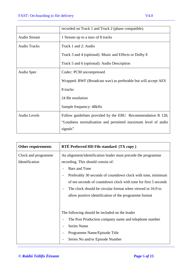|                     | recorded on Track 1 and Track 2 (phase compatible).            |
|---------------------|----------------------------------------------------------------|
| <b>Audio Stream</b> | 1 Stream up to a max of 8 tracks                               |
| <b>Audio Tracks</b> | Track 1 and 2: Audio                                           |
|                     | Track 3 and 4 (optional): Music and Effects or Dolby E         |
|                     | Track 5 and 6 (optional): Audio Description                    |
| Audio Spec          | Codec: PCM uncompressed                                        |
|                     | Wrapped: BWF (Broadcast wav) as preferable but will accept AES |
|                     | 8 tracks                                                       |
|                     | 24 Bit resolution                                              |
|                     | Sample frequency: 48kHz                                        |
| <b>Audio Levels</b> | Follow guidelines provided by the EBU Recommendation R 128,    |
|                     | "Loudness normalisation and permitted maximum level of audio   |
|                     | signals"                                                       |

| <b>Other requirements</b> | <b>RTÉ Preferred HD File standard (TX copy)</b>                                        |
|---------------------------|----------------------------------------------------------------------------------------|
| Clock and programme       | An alignment/identification leader must precede the programme                          |
| Identification            | recording. This should consist of:                                                     |
|                           | <b>Bars</b> and Tone                                                                   |
|                           | Preferably 30 seconds of countdown clock with tone, minimum                            |
|                           | of ten seconds of countdown clock with tone for first 5 seconds                        |
|                           | The clock should be circular format when viewed in 16:9 to<br>$\overline{\phantom{a}}$ |
|                           | allow positive identification of the programme format                                  |
|                           |                                                                                        |
|                           | The following should be included on the leader                                         |
|                           | The Post Production company name and telephone number<br>$\qquad \qquad$               |
|                           | Series Name                                                                            |
|                           | Programme Name/Episode Title<br>$\overline{a}$                                         |
|                           | Series No and/or Episode Number                                                        |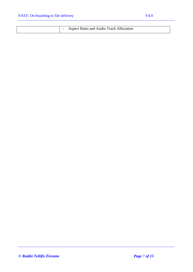|  | <b>Aspect Ratio and Audio Track Allocation</b> |
|--|------------------------------------------------|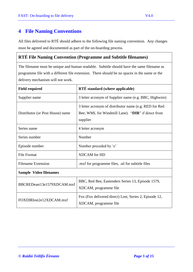<span id="page-7-0"></span>All files delivered to RTÉ should adhere to the following file naming convention. Any changes must be agreed and documented as part of the on-boarding process.

#### **RTÉ File Naming Convention (Programme and Subtitle filenames)**

The filename must be unique and human readable. Subtitle should have the same filename as programme file with a different file extension. There should be no spaces in the name or the delivery mechanism will not work.

| <b>Field required</b>            | RTÉ standard (where applicable)                                                                                         |
|----------------------------------|-------------------------------------------------------------------------------------------------------------------------|
| Supplier name                    | 3 letter acronym of Supplier name (e.g. BBC, Highwire)                                                                  |
| Distributor (or Post House) name | 3 letter acronym of distributor name (e.g. RED for Red<br>Bee; WML for Windmill Lane). "DIR" if direct from<br>supplier |
| Series name                      | 4 letter acronym                                                                                                        |
| Series number                    | Number                                                                                                                  |
| Episode number                   | Number preceded by 'e'                                                                                                  |
| <b>File Format</b>               | <b>XDCAM</b> for HD                                                                                                     |
| <b>Filename Extension</b>        | .mxf for programme files, .stl for subtitle files                                                                       |
| <b>Sample Video filenames</b>    |                                                                                                                         |
| BBCREDeast13e1579XDCAM.mxf       | BBC, Red Bee, Eastenders Series 13, Episode 1579,<br>XDCAM, programme file                                              |
| FOXDIRlost2e12XDCAM.mxf          | Fox (Fox delivered direct) Lost, Series 2, Episode 12,<br>XDCAM, programme file                                         |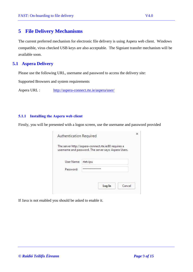<span id="page-8-0"></span>The current preferred mechanism for electronic file delivery is using Aspera web client. Windows compatible, virus checked USB keys are also acceptable. The Signiant transfer mechanism will be available soon.

#### <span id="page-8-1"></span>**5.1 Aspera Delivery**

Please use the following URL, username and password to access the delivery site:

Supported Browsers and system requirements

Aspera URL : <http://aspera-connect.rte.ie/aspera/user/>

#### **5.1.1 Installing the Aspera web client**

Firstly, you will be presented with a logon screen, use the username and password provided

|            | The server http://aspera-connect.rte.ie:80 requires a |
|------------|-------------------------------------------------------|
|            | username and password. The server says: Aspera Users. |
|            |                                                       |
| User Name: | rtetvipu                                              |
|            | ************                                          |
| Password:  |                                                       |
|            |                                                       |
|            |                                                       |

If Java is not enabled you should be asked to enable it.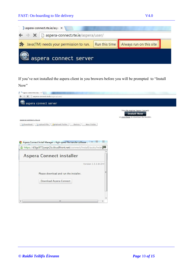| <b>FAST: On-boarding to file delivery</b>                                     | V4.0                                    |
|-------------------------------------------------------------------------------|-----------------------------------------|
| aspera-connect.rte.ie/asp                                                     |                                         |
| $\leftarrow$ $\rightarrow$ $\times$ $\Box$ aspera-connect.rte.ie/aspera/user/ |                                         |
| Java(TM) needs your permission to run.                                        | Run this time   Always run on this site |
| aspera connect server                                                         |                                         |

If you've not installed the aspera client in you browers before you will be prompted to "Install Now"

| aspera-connect.rte.ie/aspex                                                                                                                                                                                                |                                                                                                      |
|----------------------------------------------------------------------------------------------------------------------------------------------------------------------------------------------------------------------------|------------------------------------------------------------------------------------------------------|
| X aspera-connect.rte.ie/aspera/user/<br>←                                                                                                                                                                                  |                                                                                                      |
| aspera connect server                                                                                                                                                                                                      |                                                                                                      |
| aspera-connect.rte.ie<br>Upload File<br>New Folder<br><b>Download</b><br>Upload Folder<br>Delete                                                                                                                           | This site requires Aspera Connect.<br><b>Install Now</b><br>or click here to download the installer. |
| $\Sigma$<br>$\boxed{\square}$<br>Aspera Connect Install Manager :: High-speed file transfer software<br>$\Box$<br>https://d3gcli72yxqn2z.cloudfront.net/connect/install/auto/index<br>€<br><b>Aspera Connect installer</b> |                                                                                                      |
| Version 3.3.3.81344                                                                                                                                                                                                        |                                                                                                      |
| Please download and run the installer.<br>Download Aspera Connect                                                                                                                                                          |                                                                                                      |
| M)                                                                                                                                                                                                                         |                                                                                                      |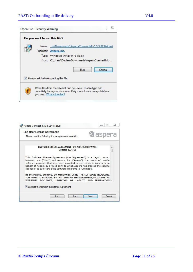| Do you want to run this file?                                                                                                                                       |
|---------------------------------------------------------------------------------------------------------------------------------------------------------------------|
| n\Downloads\AsperaConnectML-3.3.3.81344.msi<br>Name:                                                                                                                |
| Publisher:<br>Aspera, Inc.                                                                                                                                          |
| Type: Windows Installer Package                                                                                                                                     |
| C:\Users\Declan\Downloads\AsperaConnectML-<br>From:                                                                                                                 |
| Run<br>Cancel                                                                                                                                                       |
| V Always ask before opening this file                                                                                                                               |
| While files from the Internet can be useful, this file type can<br>potentially harm your computer. Only run software from publishers<br>you trust. What's the risk? |

|          | <b>End-User License Agreement</b> | Please read the following license agreement carefully  |                                                                                                                                                                                                                                                                                                                                                                             | <b>la</b> aspera     |  |
|----------|-----------------------------------|--------------------------------------------------------|-----------------------------------------------------------------------------------------------------------------------------------------------------------------------------------------------------------------------------------------------------------------------------------------------------------------------------------------------------------------------------|----------------------|--|
|          |                                   | <b>Updated 12/4/12</b>                                 | END-USER LICENSE AGREEMENT FOR ASPERA SOFTWARE                                                                                                                                                                                                                                                                                                                              |                      |  |
|          |                                   |                                                        | This End-User License Agreement (the "Agreement") is a legal contract<br>between you ("User") and Aspera, Inc. ("Aspera"), the owner of certain<br>software programs that have been provided to User either by Aspera or on<br>behalf of Aspera by a third party to which Aspera has granted the right to<br>license or to sublicense the Software Programs (a "Licensee"). |                      |  |
| WARRANTY |                                   |                                                        | BY INSTALLING, COPYING, OR OTHERWISE USING THE SOFTWARE PROGRAMS,<br>YOU AGREE TO BE BOUND BY THE TERMS OF THIS AGREEMENT, INCLUDING THE<br>DISCLAIMER, LIMITATION OF LIABILITY, AND                                                                                                                                                                                        | <b>TERMINATION</b> - |  |
|          |                                   | $\sqrt{1}$ I accept the terms in the License Agreement |                                                                                                                                                                                                                                                                                                                                                                             |                      |  |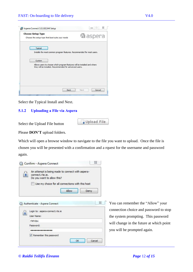| <b><i>L</i></b> aspera |
|------------------------|
|                        |
|                        |
|                        |
|                        |
|                        |
|                        |
|                        |
|                        |
|                        |

Select the Typical Install and Next.

#### **5.1.2 Uploading a File via Aspera**

Select the Upload File button

|  | Upload File |  |
|--|-------------|--|
|  |             |  |

Please **DON'T** upload folders.

Which will open a browse window to navigate to the file you want to upload. Once the file is chosen you will be presented with a confirmation and a rquest for the username and password again.



You can remember the "Allow" your connection choice and password to stop the system prompting. This password will change in the future at which point you will be prompted again.

*© Raidió Teilifís Éireann Page* 12 *of 15*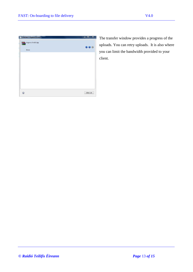| <b>G</b> Transfers - Aspera Connect | $\vert - \vert$ $\vert$ $\vert$ $\vert$ $\vert$ $\vert$ $\vert$ $\vert$ |
|-------------------------------------|-------------------------------------------------------------------------|
| Aspera Install.zip                  |                                                                         |
| Done                                | $\bullet\bullet\circ$                                                   |
|                                     |                                                                         |
|                                     |                                                                         |
|                                     |                                                                         |
|                                     |                                                                         |
|                                     |                                                                         |
|                                     |                                                                         |
|                                     |                                                                         |
|                                     | Clear List                                                              |

The transfer window provides a progress of the uploads. You can retry uploads. It is also where you can limit the bandwidth provided to your client.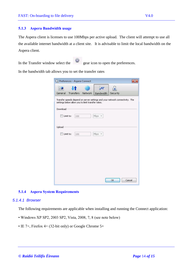#### **5.1.3 Aspera Bandwidth usage**

The Aspera client is licenses to use 100Mbps per active upload. The client will attempt to use all the available internet bandwidth at a client site. It is advisable to limit the local bandwidth on the Aspera client.

In the Transfer window select the gear icon to open the preferences.

In the bandwidth tab allows you to set the transfer rates

|          |                                                   |         | M         |                                                                              |        |
|----------|---------------------------------------------------|---------|-----------|------------------------------------------------------------------------------|--------|
| General  | Transfers                                         | Network | Bandwidth | Security                                                                     |        |
|          | settings below allow you to limit transfer rates. |         |           | Transfer speeds depend on server settings and your network connectivity. The |        |
| Download |                                                   |         |           |                                                                              |        |
|          | Limit to:<br>100                                  |         | Mbps $*$  |                                                                              |        |
|          |                                                   |         |           |                                                                              |        |
| Upload   |                                                   |         |           |                                                                              |        |
|          | Limit to:<br>100                                  |         | Mbps *    |                                                                              |        |
|          |                                                   |         |           |                                                                              |        |
|          |                                                   |         |           |                                                                              |        |
|          |                                                   |         |           |                                                                              |        |
|          |                                                   |         |           |                                                                              |        |
|          |                                                   |         |           |                                                                              |        |
|          |                                                   |         |           |                                                                              |        |
|          |                                                   |         |           |                                                                              |        |
|          |                                                   |         |           | OK                                                                           | Cancel |

#### **5.1.4 Aspera System Requirements**

#### *5.1.4.1 Browser*

The following requirements are applicable when installing and running the Connect application:

- Windows XP SP2, 2003 SP2, Vista, 2008, 7, 8 (see note below)
- IE 7+, Firefox 4+ (32-bit only) or Google Chrome 5+